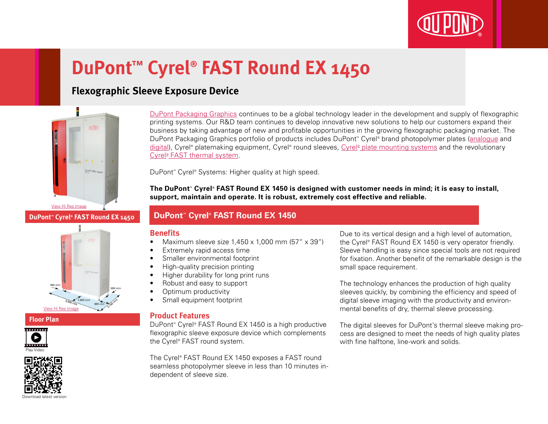

# **DuPont™ Cyrel® FAST Round EX 1450**

# **Flexographic Sleeve Exposure Device**



**DuPont™ Cyrel® FAST Round EX 1450**

# 800 mi [View Hi Res Image](http://www2.dupont.com/Packaging_Graphics/en_GB/assets/images/photogallery/Cyrel_FAST_EX_1450_Floorplan_HIREZ.jpg)

#### **Floor Plan**





[DuPont Packaging Graphics](http://www2.dupont.com/Packaging_Graphics/en_AU/index.html) continues to be a global technology leader in the development and supply of flexographic printing systems. Our R&D team continues to develop innovative new solutions to help our customers expand their business by taking advantage of new and profitable opportunities in the growing flexographic packaging market. The DuPont Packaging Graphics portfolio of products includes DuPont™ Cyrel® brand photopolymer plates ([analogue](http://www2.dupont.com/Packaging_Graphics/en_AU/products/solvent_platemaking/index.html) and [digital\)](http://www2.dupont.com/Packaging_Graphics/en_AU/products/digital_wkflow/digital_workflow.html), Cyrel® platemaking equipment, Cyrel® round sleeves, Cyrel® [plate mounting systems](http://www2.dupont.com/Packaging_Graphics/en_AU/products/mounting_systems/index.html) and the revolutionary Cyrel<sup>®</sup> [FAST thermal system.](http://www2.dupont.com/Packaging_Graphics/en_AU/products/thermal_platemaking/index.html)

DuPont™ Cyrel® Systems: Higher quality at high speed.

**The DuPont™ Cyrel® FAST Round EX 1450 is designed with customer needs in mind; it is easy to install, support, maintain and operate. It is robust, extremely cost effective and reliable.**

### **DuPont™ Cyrel® FAST Round EX 1450**

#### **Benefits**

- Maximum sleeve size  $1.450 \times 1.000$  mm  $(57'' \times 39'')$
- Extremely rapid access time
- Smaller environmental footprint
- High-quality precision printing
- Higher durability for long print runs
- Robust and easy to support
- Optimum productivity
- Small equipment footprint

#### **Product Features**

DuPont™ Cyrel® FAST Round EX 1450 is a high productive flexographic sleeve exposure device which complements the Cyrel® FAST round system.

The Cyrel® FAST Round EX 1450 exposes a FAST round seamless photopolymer sleeve in less than 10 minutes independent of sleeve size.

Due to its vertical design and a high level of automation, the Cyrel® FAST Round EX 1450 is very operator friendly. Sleeve handling is easy since special tools are not required for fixation. Another benefit of the remarkable design is the small space requirement.

The technology enhances the production of high quality sleeves quickly, by combining the efficiency and speed of digital sleeve imaging with the productivity and environmental benefits of dry, thermal sleeve processing.

The digital sleeves for DuPont's thermal sleeve making process are designed to meet the needs of high quality plates with fine halftone, line-work and solids.